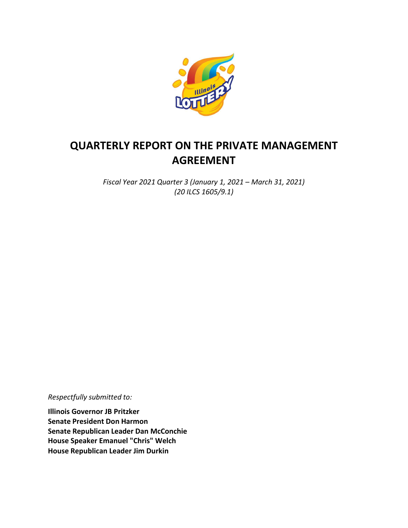

# **QUARTERLY REPORT ON THE PRIVATE MANAGEMENT AGREEMENT**

*Fiscal Year 2021 Quarter 3 (January 1, 2021 – March 31, 2021) (20 ILCS 1605/9.1)*

*Respectfully submitted to:*

**Illinois Governor JB Pritzker Senate President Don Harmon Senate Republican Leader Dan McConchie House Speaker Emanuel "Chris" Welch House Republican Leader Jim Durkin**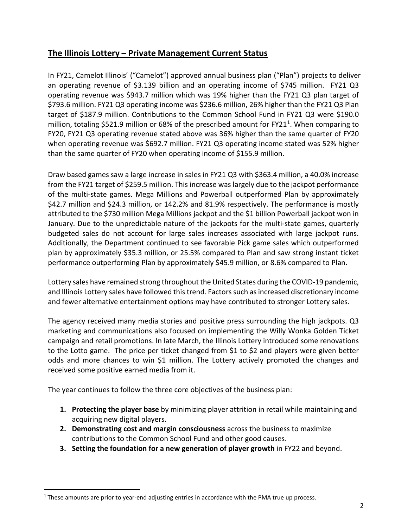### **The Illinois Lottery – Private Management Current Status**

In FY21, Camelot Illinois' ("Camelot") approved annual business plan ("Plan") projects to deliver an operating revenue of \$3.139 billion and an operating income of \$745 million. FY21 Q3 operating revenue was \$943.7 million which was 19% higher than the FY21 Q3 plan target of \$793.6 million. FY21 Q3 operating income was \$236.6 million, 26% higher than the FY21 Q3 Plan target of \$187.9 million. Contributions to the Common School Fund in FY21 Q3 were \$190.0 million, totaling \$52[1](#page-1-0).9 million or 68% of the prescribed amount for FY21<sup>1</sup>. When comparing to FY20, FY21 Q3 operating revenue stated above was 36% higher than the same quarter of FY20 when operating revenue was \$692.7 million. FY21 Q3 operating income stated was 52% higher than the same quarter of FY20 when operating income of \$155.9 million.

Draw based games saw a large increase in sales in FY21 Q3 with \$363.4 million, a 40.0% increase from the FY21 target of \$259.5 million. This increase was largely due to the jackpot performance of the multi-state games. Mega Millions and Powerball outperformed Plan by approximately \$42.7 million and \$24.3 million, or 142.2% and 81.9% respectively. The performance is mostly attributed to the \$730 million Mega Millions jackpot and the \$1 billion Powerball jackpot won in January. Due to the unpredictable nature of the jackpots for the multi-state games, quarterly budgeted sales do not account for large sales increases associated with large jackpot runs. Additionally, the Department continued to see favorable Pick game sales which outperformed plan by approximately \$35.3 million, or 25.5% compared to Plan and saw strong instant ticket performance outperforming Plan by approximately \$45.9 million, or 8.6% compared to Plan.

Lottery sales have remained strong throughout the United States during the COVID-19 pandemic, and Illinois Lottery sales have followed this trend. Factors such as increased discretionary income and fewer alternative entertainment options may have contributed to stronger Lottery sales.

The agency received many media stories and positive press surrounding the high jackpots. Q3 marketing and communications also focused on implementing the Willy Wonka Golden Ticket campaign and retail promotions. In late March, the Illinois Lottery introduced some renovations to the Lotto game. The price per ticket changed from \$1 to \$2 and players were given better odds and more chances to win \$1 million. The Lottery actively promoted the changes and received some positive earned media from it.

The year continues to follow the three core objectives of the business plan:

- **1. Protecting the player base** by minimizing player attrition in retail while maintaining and acquiring new digital players.
- **2. Demonstrating cost and margin consciousness** across the business to maximize contributions to the Common School Fund and other good causes.
- **3. Setting the foundation for a new generation of player growth** in FY22 and beyond.

<span id="page-1-0"></span> $1$  These amounts are prior to year-end adjusting entries in accordance with the PMA true up process.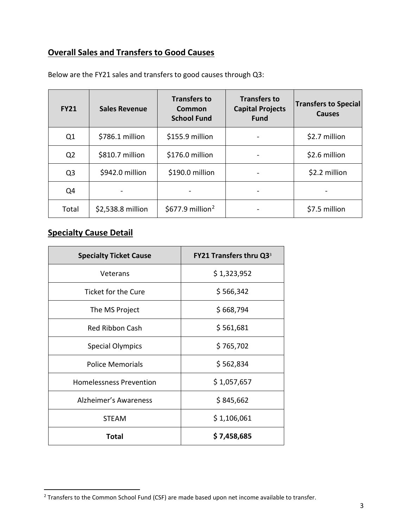### **Overall Sales and Transfers to Good Causes**

| <b>FY21</b>    | <b>Sales Revenue</b> | <b>Transfers to</b><br>Common<br><b>School Fund</b> | <b>Transfers to</b><br><b>Capital Projects</b><br><b>Fund</b> | <b>Transfers to Special</b><br><b>Causes</b> |
|----------------|----------------------|-----------------------------------------------------|---------------------------------------------------------------|----------------------------------------------|
| Q1             | \$786.1 million      | \$155.9 million                                     |                                                               | \$2.7 million                                |
| Q <sub>2</sub> | \$810.7 million      | \$176.0 million                                     |                                                               | \$2.6 million                                |
| Q <sub>3</sub> | \$942.0 million      | \$190.0 million                                     |                                                               | \$2.2 million                                |
| Q4             |                      |                                                     |                                                               |                                              |
| Total          | \$2,538.8 million    | \$677.9 million <sup>2</sup>                        |                                                               | \$7.5 million                                |

Below are the FY21 sales and transfers to good causes through Q3:

## **Specialty Cause Detail**

| <b>Specialty Ticket Cause</b>  | FY21 Transfers thru Q3 <sup>3</sup> |  |
|--------------------------------|-------------------------------------|--|
| Veterans                       | \$1,323,952                         |  |
| <b>Ticket for the Cure</b>     | \$566,342                           |  |
| The MS Project                 | \$668,794                           |  |
| <b>Red Ribbon Cash</b>         | \$561,681                           |  |
| <b>Special Olympics</b>        | \$765,702                           |  |
| <b>Police Memorials</b>        | \$562,834                           |  |
| <b>Homelessness Prevention</b> | \$1,057,657                         |  |
| Alzheimer's Awareness          | \$845,662                           |  |
| <b>STEAM</b>                   | \$1,106,061                         |  |
| <b>Total</b>                   | \$7,458,685                         |  |

<span id="page-2-0"></span><sup>&</sup>lt;sup>2</sup> Transfers to the Common School Fund (CSF) are made based upon net income available to transfer.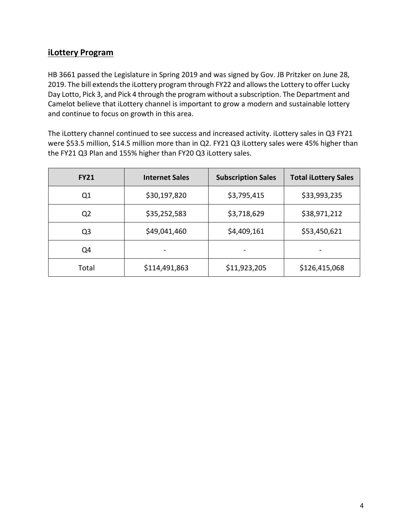#### **iLottery Program**

HB 3661 passed the Legislature in Spring 2019 and was signed by Gov. JB Pritzker on June 28, 2019. The bill extends the iLottery program through FY22 and allows the Lottery to offer Lucky Day Lotto, Pick 3, and Pick 4 through the program without a subscription. The Department and Camelot believe that iLottery channel is important to grow a modern and sustainable lottery and continue to focus on growth in this area.

The iLottery channel continued to see success and increased activity. iLottery sales in Q3 FY21 were \$53.5 million, \$14.5 million more than in Q2. FY21 Q3 iLottery sales were 45% higher than the FY21 Q3 Plan and 155% higher than FY20 Q3 iLottery sales.

| <b>FY21</b>    | <b>Internet Sales</b> | <b>Subscription Sales</b> | <b>Total iLottery Sales</b> |
|----------------|-----------------------|---------------------------|-----------------------------|
| Q <sub>1</sub> | \$30,197,820          | \$3,795,415               | \$33,993,235                |
| Q <sub>2</sub> | \$35,252,583          | \$3,718,629               | \$38,971,212                |
| Q <sub>3</sub> | \$49,041,460          | \$4,409,161               | \$53,450,621                |
| Q4             |                       |                           |                             |
| Total          | \$114,491,863         | \$11,923,205              | \$126,415,068               |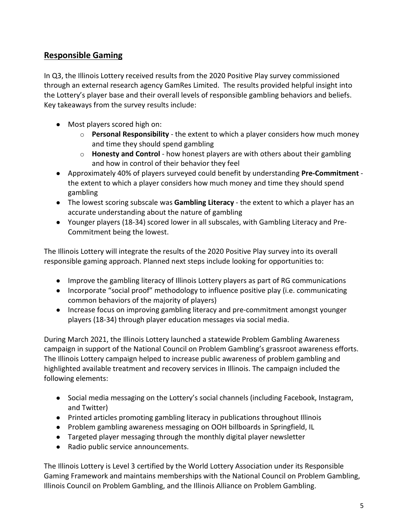### **Responsible Gaming**

In Q3, the Illinois Lottery received results from the 2020 Positive Play survey commissioned through an external research agency GamRes Limited. The results provided helpful insight into the Lottery's player base and their overall levels of responsible gambling behaviors and beliefs. Key takeaways from the survey results include:

- Most players scored high on:
	- o **Personal Responsibility** the extent to which a player considers how much money and time they should spend gambling
	- o **Honesty and Control** how honest players are with others about their gambling and how in control of their behavior they feel
- Approximately 40% of players surveyed could benefit by understanding **Pre-Commitment** the extent to which a player considers how much money and time they should spend gambling
- The lowest scoring subscale was **Gambling Literacy** the extent to which a player has an accurate understanding about the nature of gambling
- Younger players (18-34) scored lower in all subscales, with Gambling Literacy and Pre-Commitment being the lowest.

The Illinois Lottery will integrate the results of the 2020 Positive Play survey into its overall responsible gaming approach. Planned next steps include looking for opportunities to:

- Improve the gambling literacy of Illinois Lottery players as part of RG communications
- Incorporate "social proof" methodology to influence positive play (i.e. communicating common behaviors of the majority of players)
- Increase focus on improving gambling literacy and pre-commitment amongst younger players (18-34) through player education messages via social media.

During March 2021, the Illinois Lottery launched a statewide Problem Gambling Awareness campaign in support of the National Council on Problem Gambling's grassroot awareness efforts. The Illinois Lottery campaign helped to increase public awareness of problem gambling and highlighted available treatment and recovery services in Illinois. The campaign included the following elements:

- Social media messaging on the Lottery's social channels (including Facebook, Instagram, and Twitter)
- Printed articles promoting gambling literacy in publications throughout Illinois
- Problem gambling awareness messaging on OOH billboards in Springfield, IL
- Targeted player messaging through the monthly digital player newsletter
- Radio public service announcements.

The Illinois Lottery is Level 3 certified by the World Lottery Association under its Responsible Gaming Framework and maintains memberships with the National Council on Problem Gambling, Illinois Council on Problem Gambling, and the Illinois Alliance on Problem Gambling.